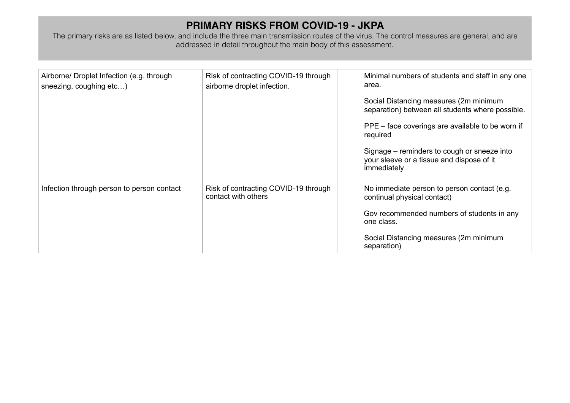## **PRIMARY RISKS FROM COVID-19 - JKPA**

The primary risks are as listed below, and include the three main transmission routes of the virus. The control measures are general, and are addressed in detail throughout the main body of this assessment.

| Airborne/ Droplet Infection (e.g. through<br>sneezing, coughing etc) | Risk of contracting COVID-19 through<br>airborne droplet infection. | Minimal numbers of students and staff in any one<br>area.<br>Social Distancing measures (2m minimum<br>separation) between all students where possible.<br>PPE – face coverings are available to be worn if<br>required<br>Signage – reminders to cough or sneeze into<br>your sleeve or a tissue and dispose of it<br>immediately |
|----------------------------------------------------------------------|---------------------------------------------------------------------|------------------------------------------------------------------------------------------------------------------------------------------------------------------------------------------------------------------------------------------------------------------------------------------------------------------------------------|
| Infection through person to person contact                           | Risk of contracting COVID-19 through<br>contact with others         | No immediate person to person contact (e.g.<br>continual physical contact)<br>Gov recommended numbers of students in any<br>one class.<br>Social Distancing measures (2m minimum<br>separation)                                                                                                                                    |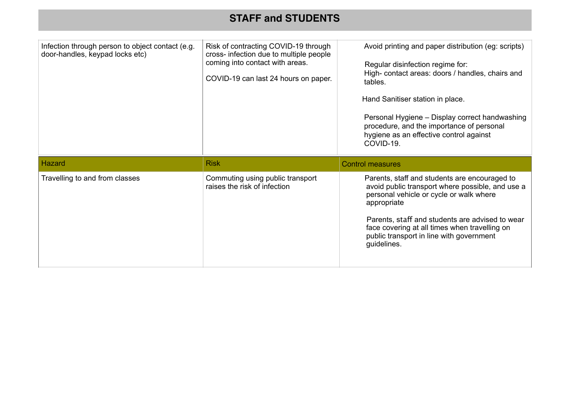## **STAFF and STUDENTS**

| Infection through person to object contact (e.g.<br>door-handles, keypad locks etc) | Risk of contracting COVID-19 through<br>cross- infection due to multiple people<br>coming into contact with areas.<br>COVID-19 can last 24 hours on paper. | Avoid printing and paper distribution (eg: scripts)<br>Regular disinfection regime for:<br>High-contact areas: doors / handles, chairs and<br>tables.<br>Hand Sanitiser station in place.<br>Personal Hygiene - Display correct handwashing<br>procedure, and the importance of personal<br>hygiene as an effective control against<br>COVID-19. |
|-------------------------------------------------------------------------------------|------------------------------------------------------------------------------------------------------------------------------------------------------------|--------------------------------------------------------------------------------------------------------------------------------------------------------------------------------------------------------------------------------------------------------------------------------------------------------------------------------------------------|
| Hazard                                                                              | <b>Risk</b>                                                                                                                                                | <b>Control measures</b>                                                                                                                                                                                                                                                                                                                          |
| Travelling to and from classes                                                      | Commuting using public transport<br>raises the risk of infection                                                                                           | Parents, staff and students are encouraged to<br>avoid public transport where possible, and use a<br>personal vehicle or cycle or walk where<br>appropriate<br>Parents, staff and students are advised to wear<br>face covering at all times when travelling on<br>public transport in line with government<br>guidelines.                       |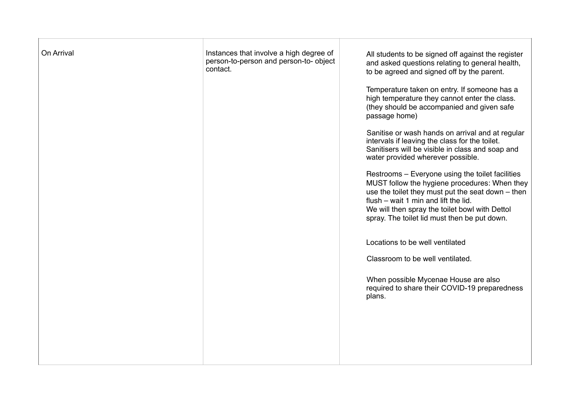| On Arrival | Instances that involve a high degree of<br>person-to-person and person-to- object<br>contact. | All students to be signed off against the register<br>and asked questions relating to general health,<br>to be agreed and signed off by the parent.<br>Temperature taken on entry. If someone has a<br>high temperature they cannot enter the class.<br>(they should be accompanied and given safe<br>passage home)<br>Sanitise or wash hands on arrival and at regular<br>intervals if leaving the class for the toilet.<br>Sanitisers will be visible in class and soap and<br>water provided wherever possible.<br>Restrooms - Everyone using the toilet facilities<br>MUST follow the hygiene procedures: When they<br>use the toilet they must put the seat down - then<br>flush - wait 1 min and lift the lid.<br>We will then spray the toilet bowl with Dettol<br>spray. The toilet lid must then be put down.<br>Locations to be well ventilated<br>Classroom to be well ventilated.<br>When possible Mycenae House are also<br>required to share their COVID-19 preparedness<br>plans. |
|------------|-----------------------------------------------------------------------------------------------|--------------------------------------------------------------------------------------------------------------------------------------------------------------------------------------------------------------------------------------------------------------------------------------------------------------------------------------------------------------------------------------------------------------------------------------------------------------------------------------------------------------------------------------------------------------------------------------------------------------------------------------------------------------------------------------------------------------------------------------------------------------------------------------------------------------------------------------------------------------------------------------------------------------------------------------------------------------------------------------------------|
|            |                                                                                               |                                                                                                                                                                                                                                                                                                                                                                                                                                                                                                                                                                                                                                                                                                                                                                                                                                                                                                                                                                                                  |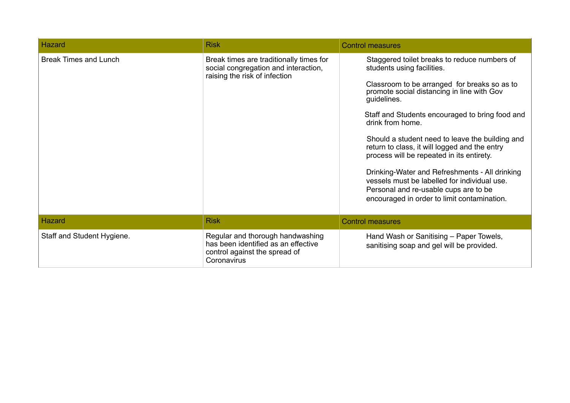| Hazard                       | <b>Risk</b>                                                                                                             | <b>Control measures</b>                                                                                                                                                                                                                                                                                                                                                                                                                                                                                                                                                                                   |
|------------------------------|-------------------------------------------------------------------------------------------------------------------------|-----------------------------------------------------------------------------------------------------------------------------------------------------------------------------------------------------------------------------------------------------------------------------------------------------------------------------------------------------------------------------------------------------------------------------------------------------------------------------------------------------------------------------------------------------------------------------------------------------------|
| <b>Break Times and Lunch</b> | Break times are traditionally times for<br>social congregation and interaction,<br>raising the risk of infection        | Staggered toilet breaks to reduce numbers of<br>students using facilities.<br>Classroom to be arranged for breaks so as to<br>promote social distancing in line with Gov<br>guidelines.<br>Staff and Students encouraged to bring food and<br>drink from home.<br>Should a student need to leave the building and<br>return to class, it will logged and the entry<br>process will be repeated in its entirety.<br>Drinking-Water and Refreshments - All drinking<br>vessels must be labelled for individual use.<br>Personal and re-usable cups are to be<br>encouraged in order to limit contamination. |
| Hazard                       | <b>Risk</b>                                                                                                             | <b>Control measures</b>                                                                                                                                                                                                                                                                                                                                                                                                                                                                                                                                                                                   |
| Staff and Student Hygiene.   | Regular and thorough handwashing<br>has been identified as an effective<br>control against the spread of<br>Coronavirus | Hand Wash or Sanitising – Paper Towels,<br>sanitising soap and gel will be provided.                                                                                                                                                                                                                                                                                                                                                                                                                                                                                                                      |